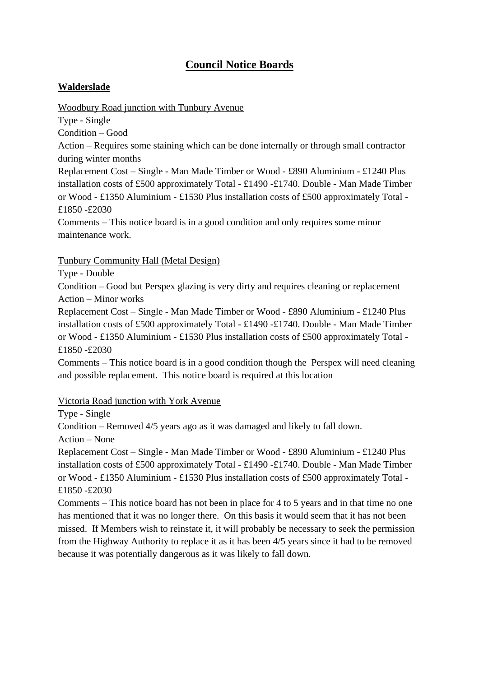# **Council Notice Boards**

## **Walderslade**

Woodbury Road junction with Tunbury Avenue

Type - Single

Condition – Good

Action – Requires some staining which can be done internally or through small contractor during winter months

Replacement Cost – Single - Man Made Timber or Wood - £890 Aluminium - £1240 Plus installation costs of £500 approximately Total - £1490 -£1740. Double - Man Made Timber or Wood - £1350 Aluminium - £1530 Plus installation costs of £500 approximately Total - £1850 -£2030

Comments – This notice board is in a good condition and only requires some minor maintenance work.

Tunbury Community Hall (Metal Design)

Type - Double

Condition – Good but Perspex glazing is very dirty and requires cleaning or replacement Action – Minor works

Replacement Cost – Single - Man Made Timber or Wood - £890 Aluminium - £1240 Plus installation costs of £500 approximately Total - £1490 -£1740. Double - Man Made Timber or Wood - £1350 Aluminium - £1530 Plus installation costs of £500 approximately Total - £1850 -£2030

Comments – This notice board is in a good condition though the Perspex will need cleaning and possible replacement. This notice board is required at this location

### Victoria Road junction with York Avenue

Type - Single

Condition – Removed 4/5 years ago as it was damaged and likely to fall down.

Action – None

Replacement Cost – Single - Man Made Timber or Wood - £890 Aluminium - £1240 Plus installation costs of £500 approximately Total - £1490 -£1740. Double - Man Made Timber or Wood - £1350 Aluminium - £1530 Plus installation costs of £500 approximately Total - £1850 -£2030

Comments – This notice board has not been in place for 4 to 5 years and in that time no one has mentioned that it was no longer there. On this basis it would seem that it has not been missed. If Members wish to reinstate it, it will probably be necessary to seek the permission from the Highway Authority to replace it as it has been 4/5 years since it had to be removed because it was potentially dangerous as it was likely to fall down.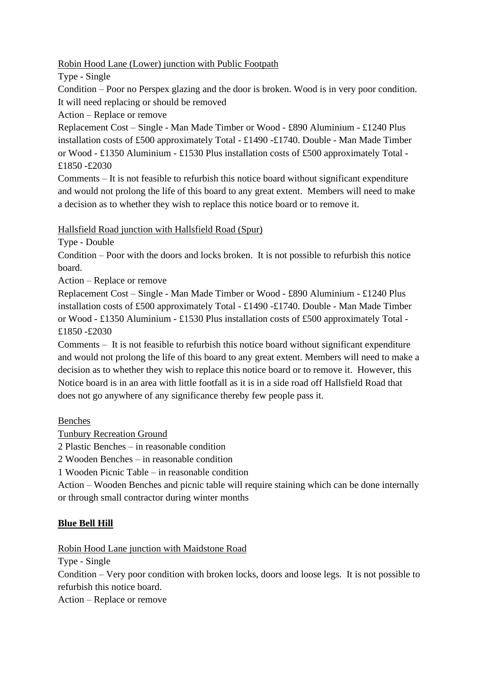#### Robin Hood Lane (Lower) junction with Public Footpath

Type - Single

Condition – Poor no Perspex glazing and the door is broken. Wood is in very poor condition. It will need replacing or should be removed

Action – Replace or remove

Replacement Cost – Single - Man Made Timber or Wood - £890 Aluminium - £1240 Plus installation costs of £500 approximately Total - £1490 -£1740. Double - Man Made Timber or Wood - £1350 Aluminium - £1530 Plus installation costs of £500 approximately Total - £1850 -£2030

Comments – It is not feasible to refurbish this notice board without significant expenditure and would not prolong the life of this board to any great extent. Members will need to make a decision as to whether they wish to replace this notice board or to remove it.

#### Hallsfield Road junction with Hallsfield Road (Spur)

Type - Double

Condition – Poor with the doors and locks broken. It is not possible to refurbish this notice board.

Action – Replace or remove

Replacement Cost – Single - Man Made Timber or Wood - £890 Aluminium - £1240 Plus installation costs of £500 approximately Total - £1490 -£1740. Double - Man Made Timber or Wood - £1350 Aluminium - £1530 Plus installation costs of £500 approximately Total - £1850 -£2030

Comments – It is not feasible to refurbish this notice board without significant expenditure and would not prolong the life of this board to any great extent. Members will need to make a decision as to whether they wish to replace this notice board or to remove it. However, this Notice board is in an area with little footfall as it is in a side road off Hallsfield Road that does not go anywhere of any significance thereby few people pass it.

Benches

Tunbury Recreation Ground

2 Plastic Benches – in reasonable condition

2 Wooden Benches – in reasonable condition

1 Wooden Picnic Table – in reasonable condition

Action – Wooden Benches and picnic table will require staining which can be done internally or through small contractor during winter months

### **Blue Bell Hill**

Robin Hood Lane junction with Maidstone Road

Type - Single

Condition – Very poor condition with broken locks, doors and loose legs. It is not possible to refurbish this notice board.

Action – Replace or remove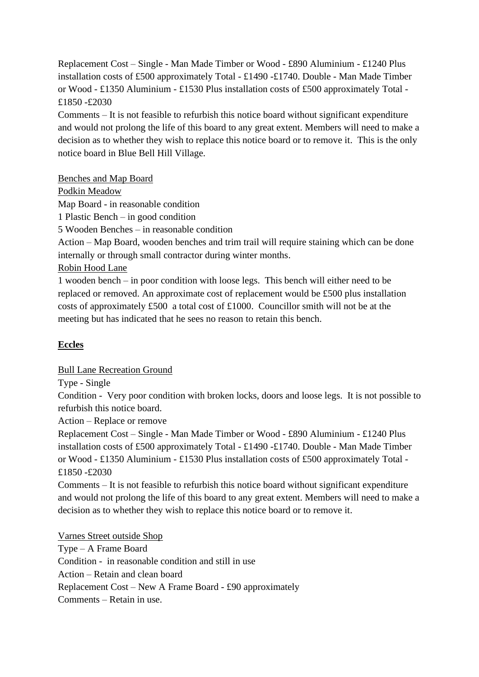Replacement Cost – Single - Man Made Timber or Wood - £890 Aluminium - £1240 Plus installation costs of £500 approximately Total - £1490 -£1740. Double - Man Made Timber or Wood - £1350 Aluminium - £1530 Plus installation costs of £500 approximately Total - £1850 -£2030

Comments – It is not feasible to refurbish this notice board without significant expenditure and would not prolong the life of this board to any great extent. Members will need to make a decision as to whether they wish to replace this notice board or to remove it. This is the only notice board in Blue Bell Hill Village.

Benches and Map Board

Podkin Meadow

Map Board - in reasonable condition

1 Plastic Bench – in good condition

5 Wooden Benches – in reasonable condition

Action – Map Board, wooden benches and trim trail will require staining which can be done internally or through small contractor during winter months.

Robin Hood Lane

1 wooden bench – in poor condition with loose legs. This bench will either need to be replaced or removed. An approximate cost of replacement would be £500 plus installation costs of approximately £500 a total cost of £1000. Councillor smith will not be at the meeting but has indicated that he sees no reason to retain this bench.

### **Eccles**

Bull Lane Recreation Ground

Type - Single

Condition - Very poor condition with broken locks, doors and loose legs. It is not possible to refurbish this notice board.

Action – Replace or remove

Replacement Cost – Single - Man Made Timber or Wood - £890 Aluminium - £1240 Plus installation costs of £500 approximately Total - £1490 -£1740. Double - Man Made Timber or Wood - £1350 Aluminium - £1530 Plus installation costs of £500 approximately Total - £1850 -£2030

Comments – It is not feasible to refurbish this notice board without significant expenditure and would not prolong the life of this board to any great extent. Members will need to make a decision as to whether they wish to replace this notice board or to remove it.

Varnes Street outside Shop Type – A Frame Board Condition - in reasonable condition and still in use Action – Retain and clean board Replacement Cost – New A Frame Board - £90 approximately Comments – Retain in use.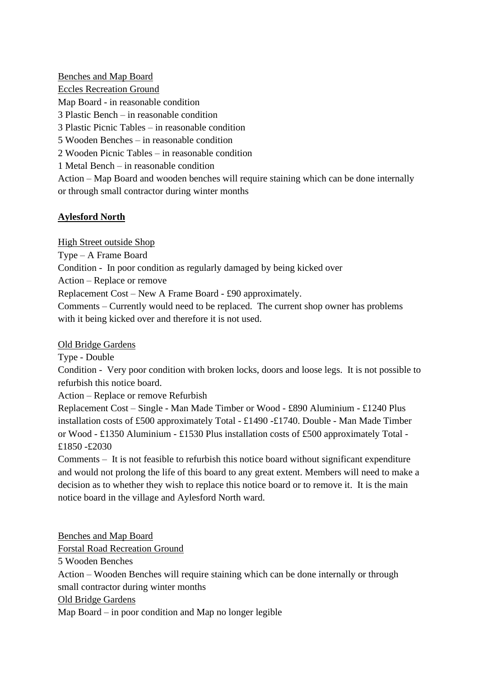Benches and Map Board Eccles Recreation Ground Map Board - in reasonable condition 3 Plastic Bench – in reasonable condition 3 Plastic Picnic Tables – in reasonable condition 5 Wooden Benches – in reasonable condition 2 Wooden Picnic Tables – in reasonable condition 1 Metal Bench – in reasonable condition

Action – Map Board and wooden benches will require staining which can be done internally or through small contractor during winter months

#### **Aylesford North**

High Street outside Shop

Type – A Frame Board

Condition - In poor condition as regularly damaged by being kicked over

Action – Replace or remove

Replacement Cost – New A Frame Board - £90 approximately.

Comments – Currently would need to be replaced. The current shop owner has problems with it being kicked over and therefore it is not used.

Old Bridge Gardens

Type - Double

Condition - Very poor condition with broken locks, doors and loose legs. It is not possible to refurbish this notice board.

Action – Replace or remove Refurbish

Replacement Cost – Single - Man Made Timber or Wood - £890 Aluminium - £1240 Plus installation costs of £500 approximately Total - £1490 -£1740. Double - Man Made Timber or Wood - £1350 Aluminium - £1530 Plus installation costs of £500 approximately Total - £1850 -£2030

Comments – It is not feasible to refurbish this notice board without significant expenditure and would not prolong the life of this board to any great extent. Members will need to make a decision as to whether they wish to replace this notice board or to remove it. It is the main notice board in the village and Aylesford North ward.

Benches and Map Board Forstal Road Recreation Ground 5 Wooden Benches Action – Wooden Benches will require staining which can be done internally or through small contractor during winter months Old Bridge Gardens Map Board – in poor condition and Map no longer legible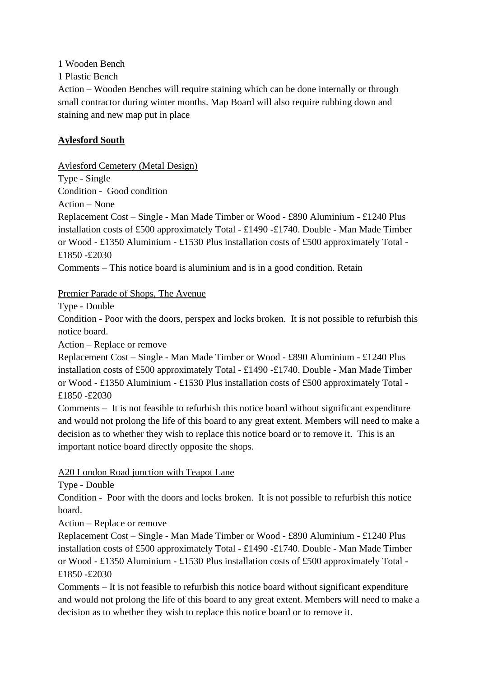1 Wooden Bench

1 Plastic Bench

Action – Wooden Benches will require staining which can be done internally or through small contractor during winter months. Map Board will also require rubbing down and staining and new map put in place

## **Aylesford South**

Aylesford Cemetery (Metal Design)

Type - Single Condition - Good condition

Action – None

Replacement Cost – Single - Man Made Timber or Wood - £890 Aluminium - £1240 Plus installation costs of £500 approximately Total - £1490 -£1740. Double - Man Made Timber or Wood - £1350 Aluminium - £1530 Plus installation costs of £500 approximately Total - £1850 -£2030

Comments – This notice board is aluminium and is in a good condition. Retain

Premier Parade of Shops, The Avenue

Type - Double

Condition - Poor with the doors, perspex and locks broken. It is not possible to refurbish this notice board.

Action – Replace or remove

Replacement Cost – Single - Man Made Timber or Wood - £890 Aluminium - £1240 Plus installation costs of £500 approximately Total - £1490 -£1740. Double - Man Made Timber or Wood - £1350 Aluminium - £1530 Plus installation costs of £500 approximately Total - £1850 -£2030

Comments – It is not feasible to refurbish this notice board without significant expenditure and would not prolong the life of this board to any great extent. Members will need to make a decision as to whether they wish to replace this notice board or to remove it. This is an important notice board directly opposite the shops.

### A20 London Road junction with Teapot Lane

Type - Double

Condition - Poor with the doors and locks broken. It is not possible to refurbish this notice board.

Action – Replace or remove

Replacement Cost – Single - Man Made Timber or Wood - £890 Aluminium - £1240 Plus installation costs of £500 approximately Total - £1490 -£1740. Double - Man Made Timber or Wood - £1350 Aluminium - £1530 Plus installation costs of £500 approximately Total - £1850 -£2030

Comments – It is not feasible to refurbish this notice board without significant expenditure and would not prolong the life of this board to any great extent. Members will need to make a decision as to whether they wish to replace this notice board or to remove it.